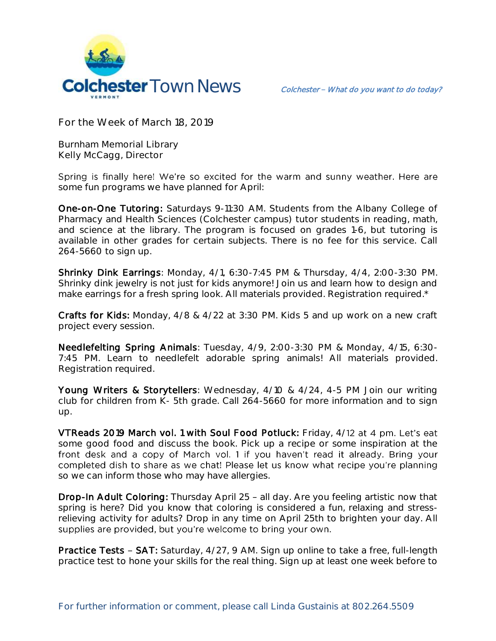

**For the Week of March 18, 2019**

**Burnham Memorial Library Kelly McCagg, Director**

Spring is finally here! We're so excited for the warm and sunny weather. Here are some fun programs we have planned for April:

One-on-One Tutoring: Saturdays 9-11:30 AM. Students from the Albany College of Pharmacy and Health Sciences (Colchester campus) tutor students in reading, math, and science at the library. The program is focused on grades 1-6, but tutoring is available in other grades for certain subjects. There is no fee for this service. Call 264-5660 to sign up.

Shrinky Dink Earrings: Monday, 4/1, 6:30-7:45 PM & Thursday, 4/4, 2:00-3:30 PM. Shrinky dink jewelry is not just for kids anymore! Join us and learn how to design and make earrings for a fresh spring look. All materials provided. Registration required.\*

Crafts for Kids: Monday, 4/8 & 4/22 at 3:30 PM. Kids 5 and up work on a new craft project every session.

Needlefelting Spring Animals: Tuesday, 4/9, 2:00-3:30 PM & Monday, 4/15, 6:30- 7:45 PM. Learn to needlefelt adorable spring animals! All materials provided. Registration required.

Young Writers & Storytellers: Wednesday, 4/10 & 4/24, 4-5 PM Join our writing club for children from K- 5th grade. Call 264-5660 for more information and to sign up.

VTReads 2019 March vol. 1 with Soul Food Potluck: Friday, 4/12 at 4 pm. Let's eat some good food and discuss the book. Pick up a recipe or some inspiration at the front desk and a copy of March vol. 1 if you haven't read it already. Bring your completed dish to share as we chat! Please let us know what recipe you're planning so we can inform those who may have allergies.

Drop-In Adult Coloring: Thursday April 25 - all day. Are you feeling artistic now that spring is here? Did you know that coloring is considered a fun, relaxing and stressrelieving activity for adults? Drop in any time on April 25th to brighten your day. All supplies are provided, but you're welcome to bring your own.

**Practice Tests - SAT:** Saturday,  $4/27$ , 9 AM. Sign up online to take a free, full-length practice test to hone your skills for the real thing. Sign up at least one week before to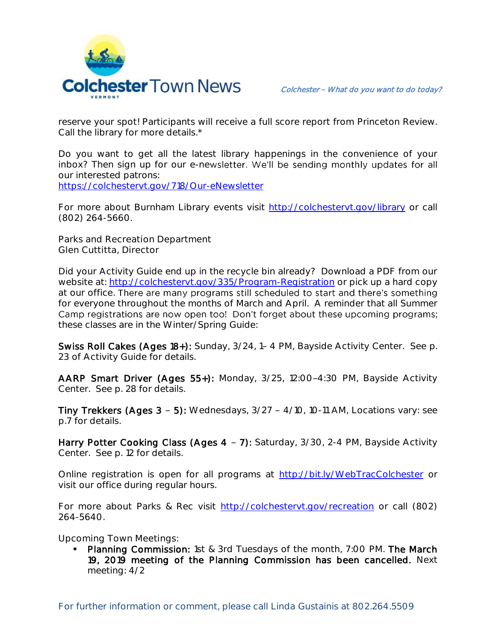

reserve your spot! Participants will receive a full score report from Princeton Review. Call the library for more details.\*

Do you want to get all the latest library happenings in the convenience of your inbox? Then sign up for our e-newsletter. We'll be sending monthly updates for all our interested patrons: <https://colchestervt.gov/718/Our-eNewsletter>

For more about Burnham Library events visit<http://colchestervt.gov/library> or call (802) 264-5660.

**Parks and Recreation Department Glen Cuttitta, Director**

Did your Activity Guide end up in the recycle bin already? Download a PDF from our website at:<http://colchestervt.gov/335/Program-Registration> or pick up a hard copy at our office. There are many programs still scheduled to start and there's something for everyone throughout the months of March and April. A reminder that all Summer Camp registrations are now open too! Don't forget about these upcoming programs; these classes are in the Winter/Spring Guide:

Swiss Roll Cakes (Ages 18+): Sunday, 3/24, 1-4 PM, Bayside Activity Center. See p. 23 of Activity Guide for details.

AARP Smart Driver (Ages 55+): Monday, 3/25, 12:00-4:30 PM, Bayside Activity Center. See p. 28 for details.

Tiny Trekkers (Ages  $3 - 5$ ): Wednesdays,  $3/27 - 4/10$ , 10-11 AM, Locations vary: see p.7 for details.

Harry Potter Cooking Class (Ages 4 - 7): Saturday, 3/30, 2-4 PM, Bayside Activity Center. See p. 12 for details.

Online registration is open for all programs at<http://bit.ly/WebTracColchester> or visit our office during regular hours.

For more about Parks & Rec visit [http://colchestervt.gov/recreation](http://colchestervt.gov/Recreation/parksNRec.shtml) or call (802) 264-5640.

**Upcoming Town Meetings:** 

 Planning Commission: 1st & 3rd Tuesdays of the month, 7:00 PM. The March 19, 2019 meeting of the Planning Commission has been cancelled. Next meeting: 4/2